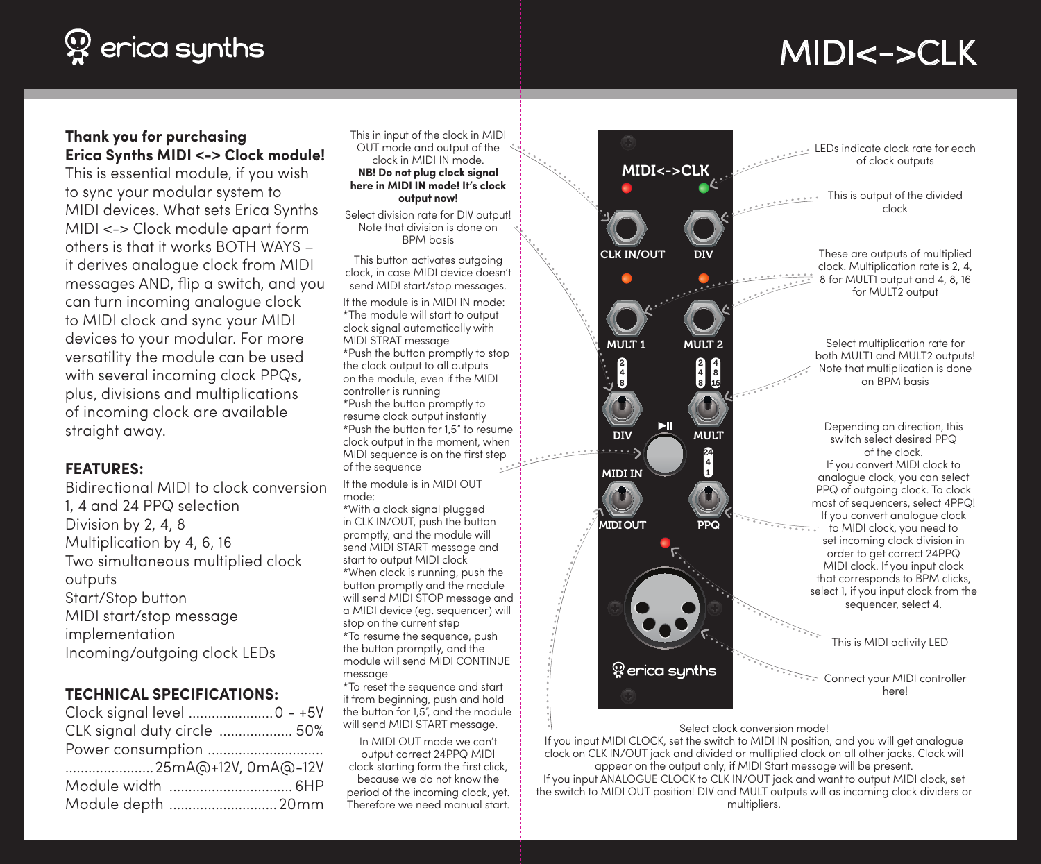# $\mathfrak P$  erica synths

# MIDI<->CLK

### **Thank you for purchasing Erica Synths MIDI <-> Clock module!**

This is essential module, if you wish to sync your modular system to MIDI devices. What sets Erica Synths MIDI <-> Clock module apart form others is that it works BOTH WAYS – it derives analogue clock from MIDI messages AND, flip a switch, and you can turn incoming analogue clock to MIDI clock and sync your MIDI devices to your modular. For more versatility the module can be used with several incoming clock PPQs, plus, divisions and multiplications of incoming clock are available straight away.

### **FEATURES:**

Bidirectional MIDI to clock conversion 1, 4 and 24 PPQ selection Division by 2, 4, 8 Multiplication by 4, 6, 16 Two simultaneous multiplied clock outputs Start/Stop button MIDI start/stop message implementation Incoming/outgoing clock LEDs

### **TECHNICAL SPECIFICATIONS:**

| Clock signal level 0 - +5V  |  |
|-----------------------------|--|
| CLK signal duty circle  50% |  |
| Power consumption           |  |
| 25mA@+12V, 0mA@-12V         |  |
| Module width  6HP           |  |
| Module depth 20mm           |  |

This in input of the clock in MIDI OUT mode and output of the clock in MIDI IN mode. **NB! Do not plug clock signal** 

#### **here in MIDI IN mode! It's clock output now!**

Select division rate for DIV output! Note that division is done on BPM basis

This button activates outgoing clock, in case MIDI device doesn't send MIDI start/stop messages.

If the module is in MIDI IN mode: \*The module will start to output clock signal automatically with MIDI STRAT message \*Push the button promptly to stop the clock output to all outputs on the module, even if the MIDI controller is running \*Push the button promptly to resume clock output instantly \*Push the button for 1,5" to resume clock output in the moment, when MIDI sequence is on the first step of the sequence

If the module is in MIDI OUT mode:

\*With a clock signal plugged in CLK IN/OUT, push the button promptly, and the module will send MIDI START message and start to output MIDI clock \*When clock is running, push the button promptly and the module will send MIDI STOP message and a MIDI device (eg. sequencer) will stop on the current step \*To resume the sequence, push the button promptly, and the module will send MIDI CONTINUE message

\*To reset the sequence and start it from beginning, push and hold the button for 1,5", and the module will send MIDI START message.

In MIDI OUT mode we can't output correct 24PPQ MIDI clock starting form the first click, because we do not know the period of the incoming clock, yet. Therefore we need manual start.



LEDs indicate clock rate for each of clock outputs

. . . . . . . . . . This is output of the divided clock

These are outputs of multiplied clock. Multiplication rate is 2, 4, 8 for MULT1 output and 4, 8, 16 for MULT<sub>2</sub> output

> Select multiplication rate for both MULT1 and MULT2 outputs! Note that multiplication is done on BPM basis

Depending on direction, this switch select desired PPQ of the clock. If you convert MIDI clock to analogue clock, you can select PPQ of outgoing clock. To clock most of sequencers, select 4PPQ! If you convert analogue clock to MIDI clock, you need to set incoming clock division in order to get correct 24PPQ MIDI clock. If you input clock that corresponds to BPM clicks, select 1, if you input clock from the sequencer, select 4.

This is MIDI activity LED

**Connect your MIDI controller** here!

#### Select clock conversion mode!

If you input MIDI CLOCK, set the switch to MIDI IN position, and you will get analogue clock on CLK IN/OUT jack and divided or multiplied clock on all other jacks. Clock will appear on the output only, if MIDI Start message will be present. If you input ANALOGUE CLOCK to CLK IN/OUT jack and want to output MIDI clock, set the switch to MIDI OUT position! DIV and MULT outputs will as incoming clock dividers or multipliers.